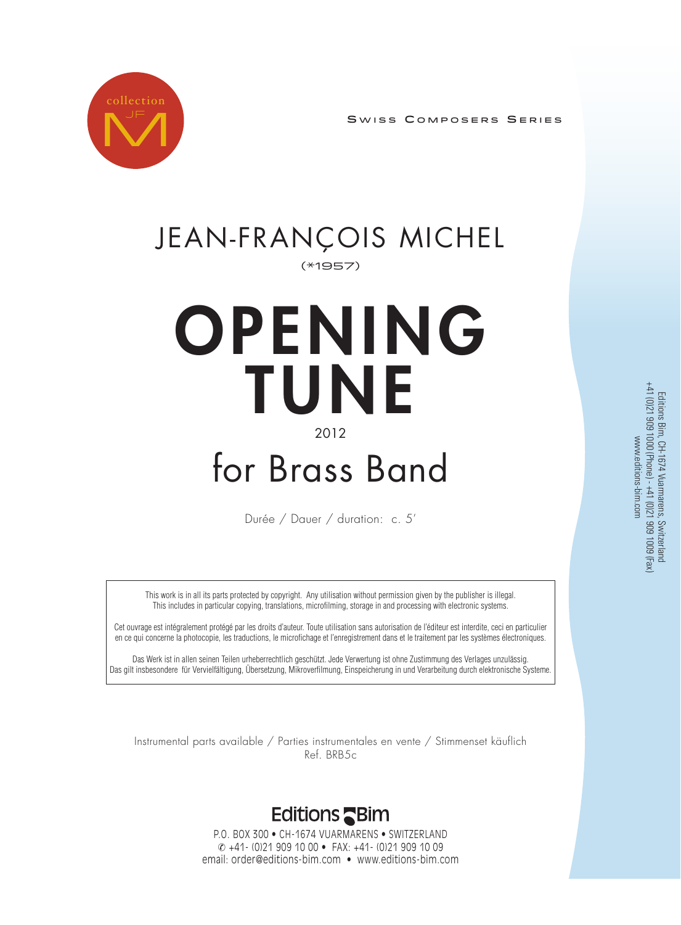SWISS COMPOSERS SERIES



## (\*1957) JEAN-FRANÇOIS MICHEL

# 2012 OPENING TUNE

## for Brass Band

Durée / Dauer / duration: c. 5'

This work is in all its parts protected by copyright. Any utilisation without permission given by the publisher is illegal. This includes in particular copying, translations, microfilming, storage in and processing with electronic systems.

Cet ouvrage est intégralement protégé par les droits d'auteur. Toute utilisation sans autorisation de l'éditeur est interdite, ceci en particulier en ce qui concerne la photocopie, les traductions, le microfichage et l'enregistrement dans et le traitement par les systèmes électroniques.

Das Werk ist in allen seinen Teilen urheberrechtlich geschützt. Jede Verwertung ist ohne Zustimmung des Verlages unzulässig. Das gilt insbesondere für Vervielfältigung, Übersetzung, Mikroverfilmung, Einspeicherung in und Verarbeitung durch elektronische Systeme.

Instrumental parts available / Parties instrumentales en vente / Stimmenset käuflich Ref. BRB5c

## **Editions** Bim

P.O. BOX 300 • CH-1674 VUARMARENS • SWITZERLAND +41- (0)21 909 10 00 • FAX: +41- (0)21 909 10 09 email: order@editions-bim.com • www.editions-bim.com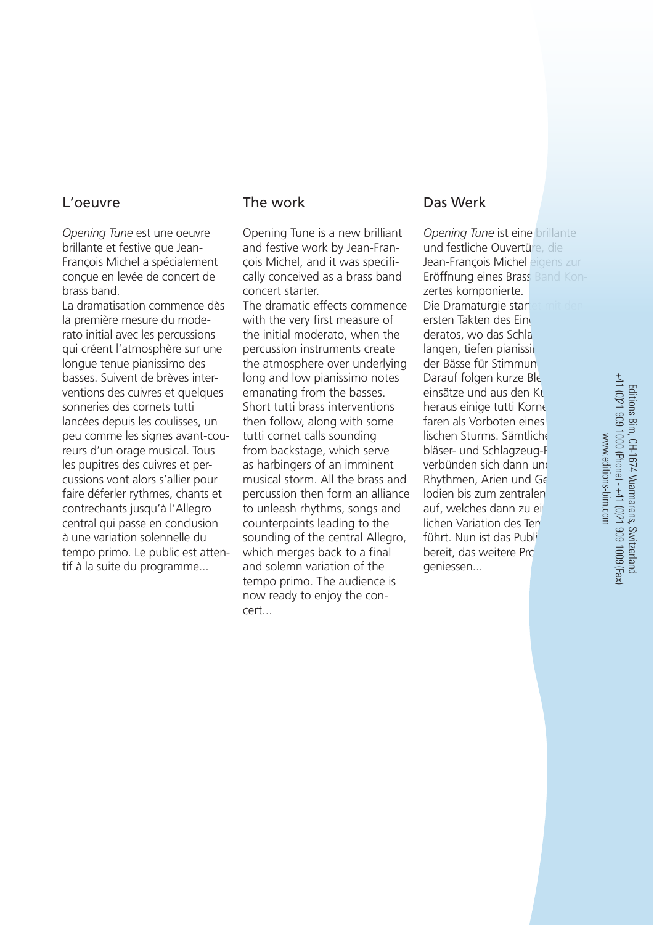### L'oeuvre

*Opening Tune* est une oeuvre brillante et festive que Jean-François Michel a spécialement conçue en levée de concert de brass band.

La dramatisation commence dès la première mesure du moderato initial avec les percussions qui créent l'atmosphère sur une longue tenue pianissimo des basses. Suivent de brèves interventions des cuivres et quelques sonneries des cornets tutti lancées depuis les coulisses, un peu comme les signes avant-coureurs d'un orage musical. Tous les pupitres des cuivres et percussions vont alors s'allier pour faire déferler rythmes, chants et contrechants jusqu'à l'Allegro central qui passe en conclusion à une variation solennelle du tempo primo. Le public est attentif à la suite du programme...

#### The work

Opening Tune is a new brilliant and festive work by Jean-François Michel, and it was specifically conceived as a brass band concert starter.

The dramatic effects commence with the very first measure of the initial moderato, when the percussion instruments create the atmosphere over underlying long and low pianissimo notes emanating from the basses. Short tutti brass interventions then follow, along with some tutti cornet calls sounding from backstage, which serve as harbingers of an imminent musical storm. All the brass and percussion then form an alliance to unleash rhythms, songs and counterpoints leading to the sounding of the central Allegro, which merges back to a final and solemn variation of the tempo primo. The audience is now ready to enjoy the concert...

### Das Werk

*Opening Tune* ist eine brillante und festliche Ouvertüre, die Jean-François Michel eigens zur Eröffnung eines Brass Band Konzertes komponierte. Die Dramaturgie start ersten Takten des Eine deratos, wo das Schla langen, tiefen pianissi der Bässe für Stimmun Darauf folgen kurze Ble einsätze und aus den Ku heraus einige tutti Korne faren als Vorboten eines  $lischen Sturms. Sämtlich<sub>•</sub>$ bläser- und Schlagzeug-F verbünden sich dann und Rhythmen, Arien und G $\epsilon$ lodien bis zum zentralen auf, welches dann zu ei lichen Variation des Ten führt. Nun ist das Publi bereit, das weitere Pro geniessen...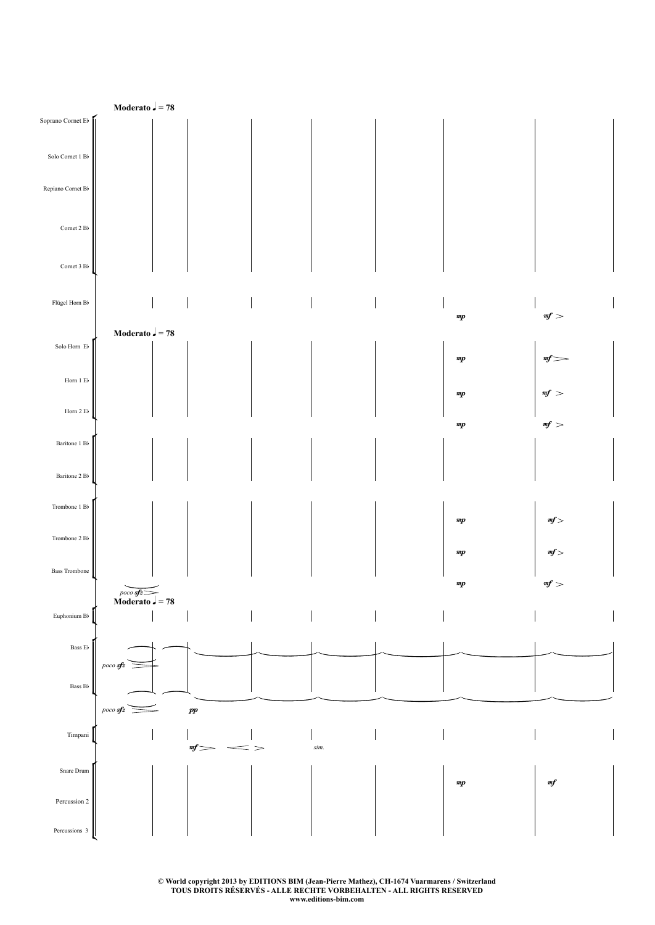

**© World copyright 2013 by EDITIONS BIM (Jean-Pierre Mathez), CH-1674 Vuarmarens / SwitzerlandTOUS DROITS RÉSERVÉS - ALLE RECHTE VORBEHALTEN - ALL RIGHTS RESERVEDwww.editions-bim.com**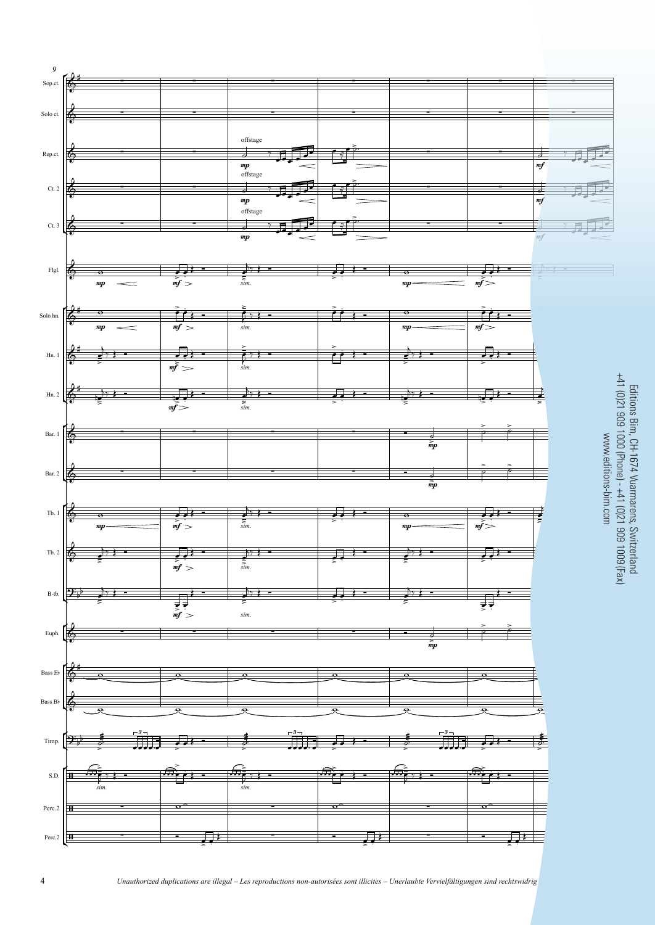

*Unauthorized duplications are illegal – Les reproductions non-autorisées sont illicites – Unerlaubte Vervielfältigungen sind rechtswidrig*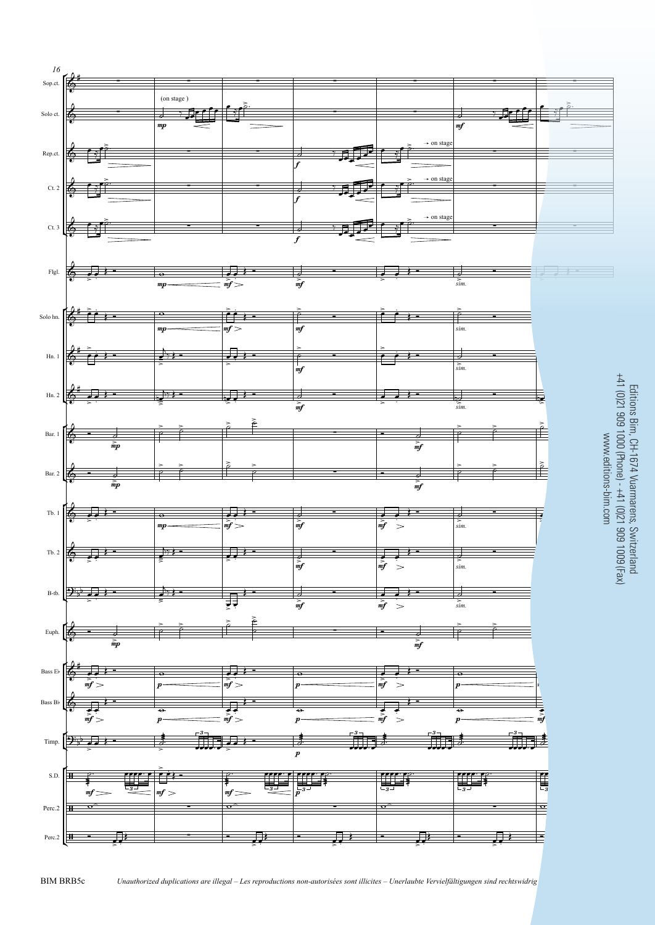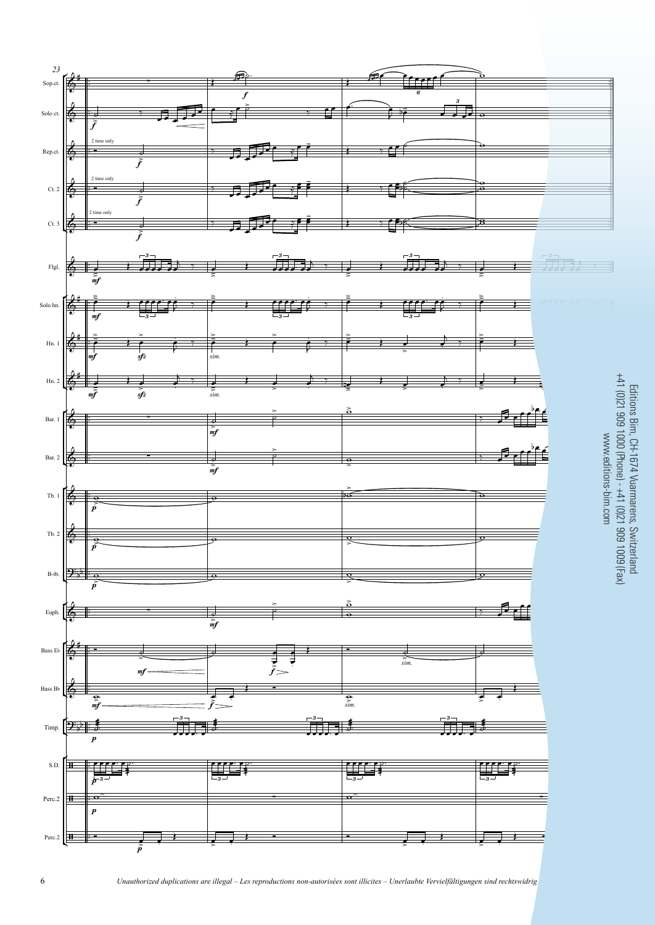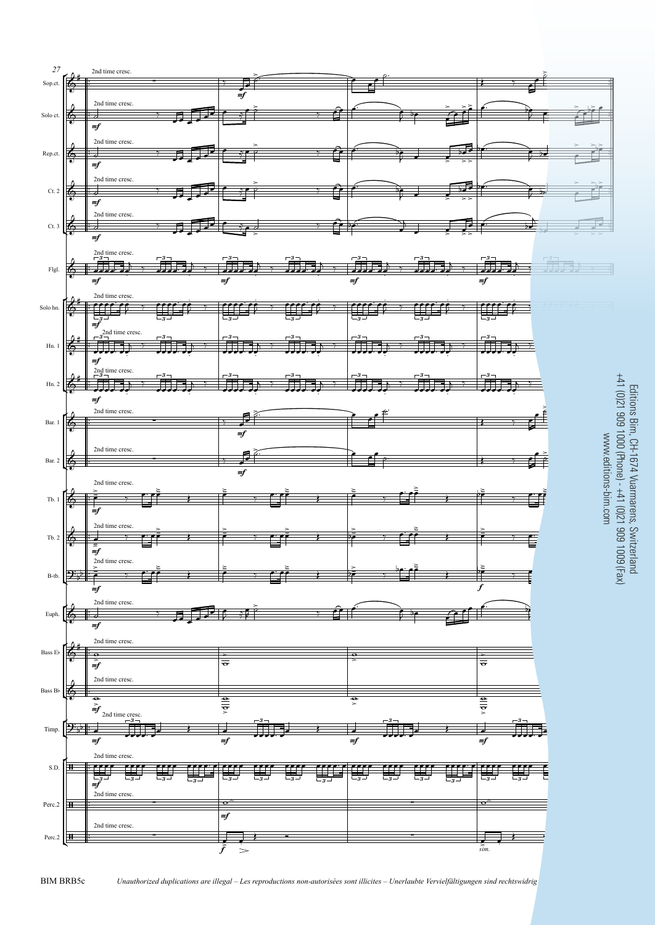

™ ™ ™ ™ ™ ™ ™ ™ ™ ™

*Unauthorized duplications are illegal – Les reproductions non-autorisées sont illicites – Unerlaubte Vervielfältigungen sind rechtswidrig*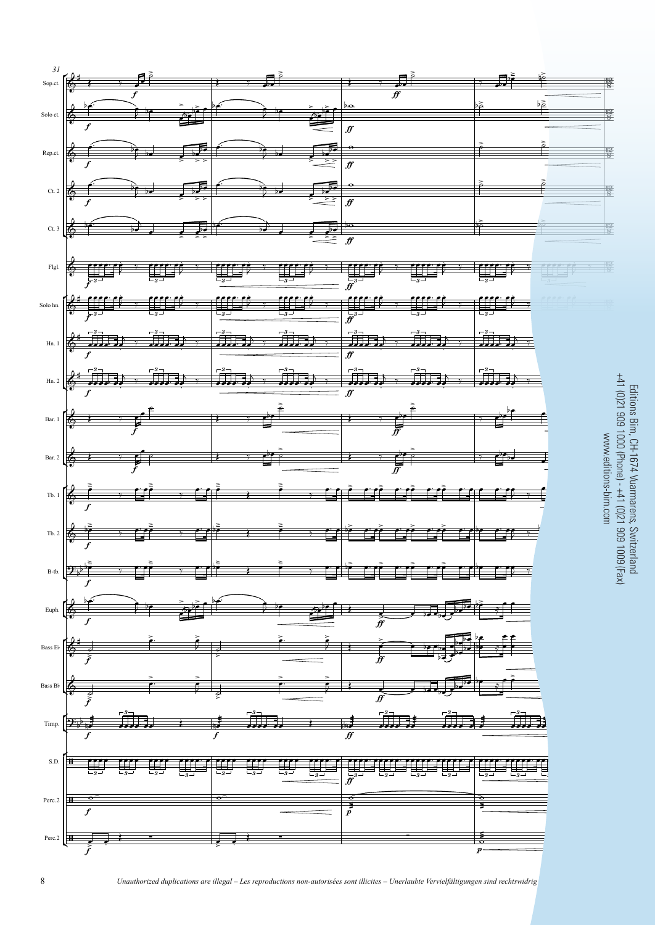![](_page_7_Figure_0.jpeg)

*Unauthorized duplications are illegal – Les reproductions non-autorisées sont illicites – Unerlaubte Vervielfältigungen sind rechtswidrig*

 $\frac{1}{2}$ .<br>នាយ<br>សាន្ត<br>សាន្ត  $\frac{5}{2}$   $\frac{1}{2}$   $\frac{1}{2}$   $\frac{1}{2}$   $\frac{1}{2}$  $\begin{array}{c}\n\text{and} \\
\uparrow +\text{and} \\
\downarrow +\text{and} \\
\downarrow +\text{and} \\
\downarrow +\text{and} \\
\downarrow +\text{and} \\
\downarrow +\text{and} \\
\downarrow +\text{and} \\
\downarrow +\text{and} \\
\downarrow +\text{and} \\
\downarrow +\text{and} \\
\downarrow +\text{and} \\
\downarrow +\text{and} \\
\downarrow +\text{and} \\
\downarrow +\text{and} \\
\downarrow +\text{and} \\
\downarrow +\text{and} \\
\downarrow +\text{and} \\
\downarrow +\text{and} \\
\downarrow +\text{and} \\
\downarrow +\text{and} \\
\downarrow +\text$  $\frac{3}{2}$ Editions Bim, CH-1674 Vuarmarens, Switzerland +41 (0)21 909 1000 (Phone) - +41 (0)21 909 1009 (Fax)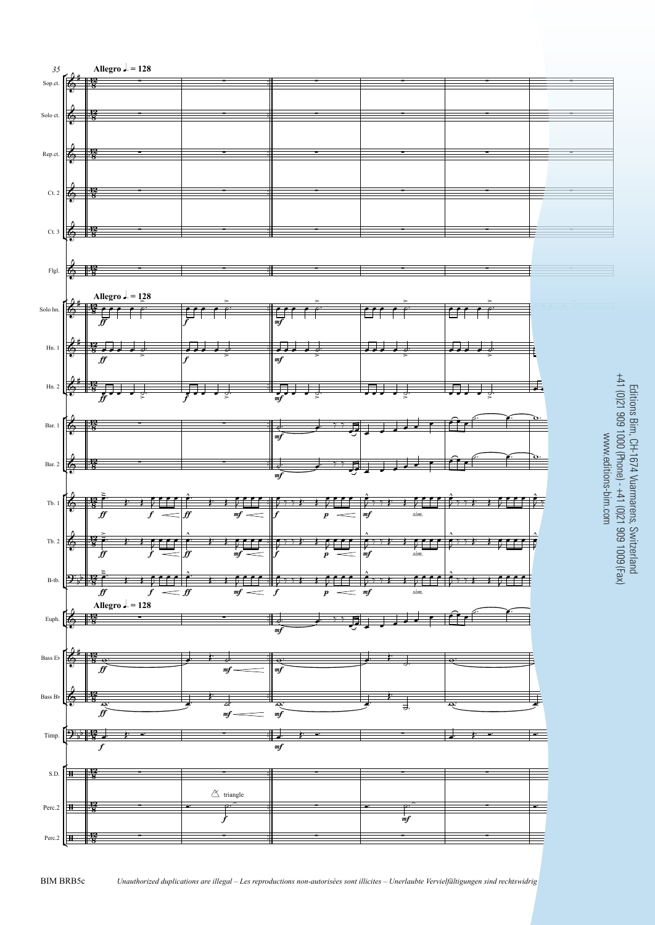![](_page_8_Figure_0.jpeg)